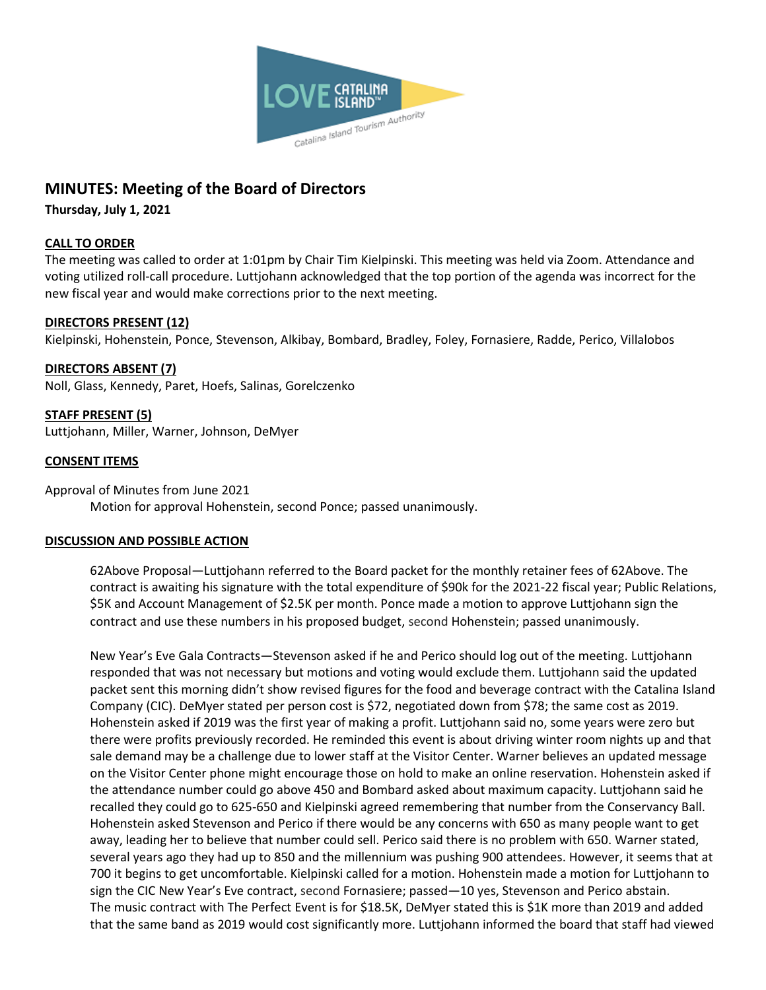

# **MINUTES: Meeting of the Board of Directors**

**Thursday, July 1, 2021**

## **CALL TO ORDER**

The meeting was called to order at 1:01pm by Chair Tim Kielpinski. This meeting was held via Zoom. Attendance and voting utilized roll-call procedure. Luttjohann acknowledged that the top portion of the agenda was incorrect for the new fiscal year and would make corrections prior to the next meeting.

## **DIRECTORS PRESENT (12)**

Kielpinski, Hohenstein, Ponce, Stevenson, Alkibay, Bombard, Bradley, Foley, Fornasiere, Radde, Perico, Villalobos

**DIRECTORS ABSENT (7)** Noll, Glass, Kennedy, Paret, Hoefs, Salinas, Gorelczenko

**STAFF PRESENT (5)** Luttjohann, Miller, Warner, Johnson, DeMyer

## **CONSENT ITEMS**

Approval of Minutes from June 2021 Motion for approval Hohenstein, second Ponce; passed unanimously.

#### **DISCUSSION AND POSSIBLE ACTION**

62Above Proposal—Luttjohann referred to the Board packet for the monthly retainer fees of 62Above. The contract is awaiting his signature with the total expenditure of \$90k for the 2021-22 fiscal year; Public Relations, \$5K and Account Management of \$2.5K per month. Ponce made a motion to approve Luttjohann sign the contract and use these numbers in his proposed budget, second Hohenstein; passed unanimously.

New Year's Eve Gala Contracts—Stevenson asked if he and Perico should log out of the meeting. Luttjohann responded that was not necessary but motions and voting would exclude them. Luttjohann said the updated packet sent this morning didn't show revised figures for the food and beverage contract with the Catalina Island Company (CIC). DeMyer stated per person cost is \$72, negotiated down from \$78; the same cost as 2019. Hohenstein asked if 2019 was the first year of making a profit. Luttjohann said no, some years were zero but there were profits previously recorded. He reminded this event is about driving winter room nights up and that sale demand may be a challenge due to lower staff at the Visitor Center. Warner believes an updated message on the Visitor Center phone might encourage those on hold to make an online reservation. Hohenstein asked if the attendance number could go above 450 and Bombard asked about maximum capacity. Luttjohann said he recalled they could go to 625-650 and Kielpinski agreed remembering that number from the Conservancy Ball. Hohenstein asked Stevenson and Perico if there would be any concerns with 650 as many people want to get away, leading her to believe that number could sell. Perico said there is no problem with 650. Warner stated, several years ago they had up to 850 and the millennium was pushing 900 attendees. However, it seems that at 700 it begins to get uncomfortable. Kielpinski called for a motion. Hohenstein made a motion for Luttjohann to sign the CIC New Year's Eve contract, second Fornasiere; passed—10 yes, Stevenson and Perico abstain. The music contract with The Perfect Event is for \$18.5K, DeMyer stated this is \$1K more than 2019 and added that the same band as 2019 would cost significantly more. Luttjohann informed the board that staff had viewed